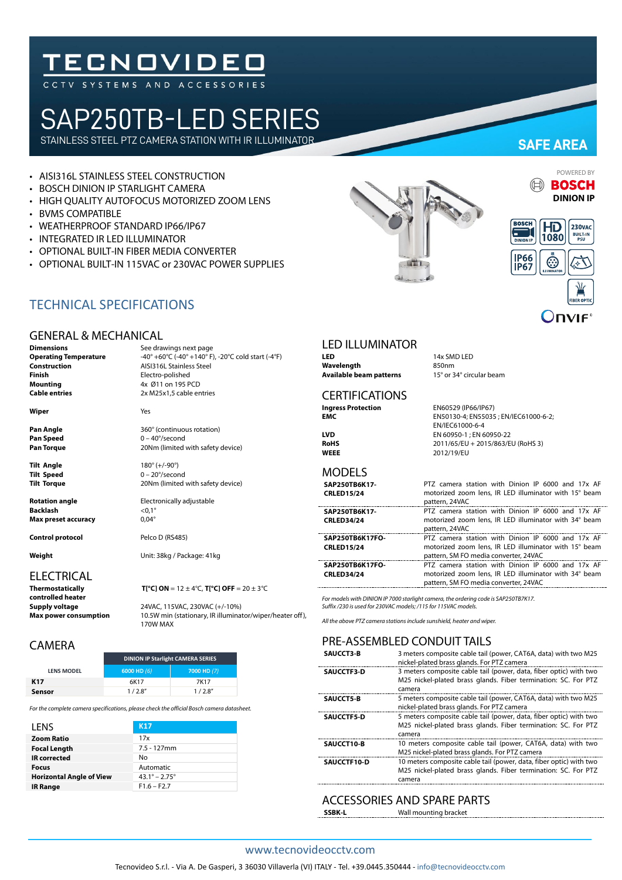# **TECNOVIDEO**

## SAP250TB-LED SERIES

STAINLESS STEEL PTZ CAMERA STATION WITH IR ILLUMINATOR

- AISI316L STAINLESS STEEL CONSTRUCTION
- BOSCH DINION IP STARLIGHT CAMERA
- HIGH QUALITY AUTOFOCUS MOTORIZED ZOOM LENS
- BVMS COMPATIBLE
- WEATHERPROOF STANDARD IP66/IP67
- INTEGRATED IR LED ILLUMINATOR
- OPTIONAL BUILT-IN FIBER MEDIA CONVERTER
- OPTIONAL BUILT-IN 115VAC or 230VAC POWER SUPPLIES



### **SAFE AREA**



POWERED BY



#### TECHNICAL SPECIFICATIONS

#### GENERAL & MECHANICAL

**Dimensions** See drawings next page **Operating Temperature**  $-40^{\circ} + 60^{\circ}$ C (-40° +140° F), -20°C cold start (-4°F) **Construction**<br> **Construction**<br>
Electro-polished<br>
Electro-polished **Finish**<br> **Mounting**<br> **Mounting**<br>  $4x \cancel{0}11$  on 195 P **Mounting** 4x Ø11 on 195 PCD

**Wiper** Yes

**Pan Speed** 0 – 40°/second

**Tilt Angle** 180° (+/-90°)<br> **Tilt Speed** 0 – 20°/secor

**Rotation angle** Electronically adjustable **Backlash** <0,1°<br> **Max preset accuracy** 0,04° **Max preset accuracy** 

**Control protocol** Pelco D (RS485)

### ELECTRICAL<br>Thermostatically

**controlled heater**

**Supply voltage** 24VAC, 115VAC, 230VAC (+/-10%)<br> **Max power consumption** 10.5W min (stationary, IR illumina 10.5W min (stationary, IR illuminator/wiper/heater off), 170W MAX

#### CAMERA

|                   | <b>DINION IP Starlight CAMERA SERIES</b> |             |
|-------------------|------------------------------------------|-------------|
| <b>LENS MODEL</b> | 6000 HD $(6)$                            | 7000 HD (7) |
| K <sub>17</sub>   | 6K17                                     | 7K17        |
| Sensor            | 1/28''                                   | 1/2.8''     |

*For the complete camera specifications, please check the official Bosch camera datasheet.*

| LENS                            | <b>K17</b>                    |
|---------------------------------|-------------------------------|
| <b>Zoom Ratio</b>               | 17x                           |
| <b>Focal Length</b>             | $7.5 - 127$ mm                |
| <b>IR</b> corrected             | No                            |
| <b>Focus</b>                    | Automatic                     |
| <b>Horizontal Angle of View</b> | $43.1^{\circ} - 2.75^{\circ}$ |
| <b>IR Range</b>                 | $F1.6 - F2.7$                 |
|                                 |                               |

#### LED ILLUMINATOR

**LED** 14x SMD LED **Wavelength** 850nm<br> **Available beam patterns** 15° or 34° circular beam Available beam patterns

#### **CERTIFICATIONS**

**Ingress Protection**<br> **EN60529 (IP66/IP67)**<br>
EN50130-4: EN55035 **EMC** EN50130-4; EN55035 ; EN/IEC61000-6-2; EN/IEC61000-6-4 **LVD** EN 60950-1 ; EN 60950-22 **RoHS** 2011/65/EU + 2015/863/EU (RoHS 3)<br> **WEEE** 2012/19/EU **WEEE** 2012/19/EU

#### MODELS

| SAP250TB6K17-<br><b>CRLED15/24</b> | PTZ camera station with Dinion IP 6000 and 17x AF<br>motorized zoom lens, IR LED illuminator with 15° beam<br>pattern, 24VAC |
|------------------------------------|------------------------------------------------------------------------------------------------------------------------------|
| SAP250TB6K17-                      | PTZ camera station with Dinion IP 6000 and 17x AF                                                                            |
| <b>CRLED34/24</b>                  | motorized zoom lens, IR LED illuminator with 34° beam<br>pattern, 24VAC                                                      |
| SAP250TB6K17FO-                    | PTZ camera station with Dinion IP 6000 and 17x AF                                                                            |
| <b>CRLED15/24</b>                  | motorized zoom lens, IR LED illuminator with 15° beam                                                                        |
|                                    | pattern, SM FO media converter, 24VAC                                                                                        |
| SAP250TB6K17FO-                    | PTZ camera station with Dinion IP 6000 and 17x AF                                                                            |
| <b>CRLED34/24</b>                  | motorized zoom lens. IR LED illuminator with 34° beam<br>pattern, SM FO media converter, 24VAC                               |

*For models with DINION IP 7000 starlight camera, the ordering code is SAP250TB7K17. Suffix /230 is used for 230VAC models; /115 for 115VAC models.*

*All the above PTZ camera stations include sunshield, heater and wiper.*

#### PRE-ASSEMBLED CONDUIT TAILS

| SAUCCT3-B         | 3 meters composite cable tail (power, CAT6A, data) with two M25<br>nickel-plated brass glands. For PTZ camera                                  |
|-------------------|------------------------------------------------------------------------------------------------------------------------------------------------|
| <b>SAUCCTF3-D</b> | 3 meters composite cable tail (power, data, fiber optic) with two<br>M25 nickel-plated brass glands. Fiber termination: SC. For PTZ            |
|                   | camera                                                                                                                                         |
| <b>SAUCCT5-B</b>  | 5 meters composite cable tail (power, CAT6A, data) with two M25<br>nickel-plated brass glands. For PTZ camera                                  |
| <b>SAUCCTF5-D</b> | 5 meters composite cable tail (power, data, fiber optic) with two<br>M25 nickel-plated brass glands. Fiber termination: SC. For PTZ<br>camera  |
| SAUCCT10-B        | 10 meters composite cable tail (power, CAT6A, data) with two<br>M25 nickel-plated brass glands. For PTZ camera                                 |
| SAUCCTF10-D       | 10 meters composite cable tail (power, data, fiber optic) with two<br>M25 nickel-plated brass glands. Fiber termination: SC. For PTZ<br>camera |

#### ACCESSORIES AND SPARE PARTS

**SSBK-L** Wall mounting bracket

#### www.tecnovideocctv.com

**Pan Angle** 260° (continuous rotation) **Pan Torque** 20Nm (limited with safety device)

0 – 20°/second **Tilt Torque** 20Nm (limited with safety device)

**Cable entries** 2x M25x1,5 cable entries

**Weight** Unit: 38kg / Package: 41kg

**T[°C] ON** =  $12 \pm 4$ °C, **T[°C] OFF** =  $20 \pm 3$ °C